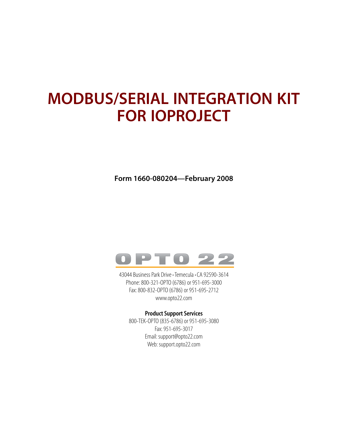### **MODBUS/SERIAL INTEGRATION KIT FOR IOPROJECT**

**Form 1660-080204—February 2008**



43044 Business Park Drive • Temecula • CA 92590-3614 Phone: 800-321-OPTO (6786) or 951-695-3000 Fax: 800-832-OPTO (6786) or 951-695-2712 www.opto22.com

#### **Product Support Services**

800-TEK-OPTO (835-6786) or 951-695-3080 Fax: 951-695-3017 Email: support@opto22.com Web: support.opto22.com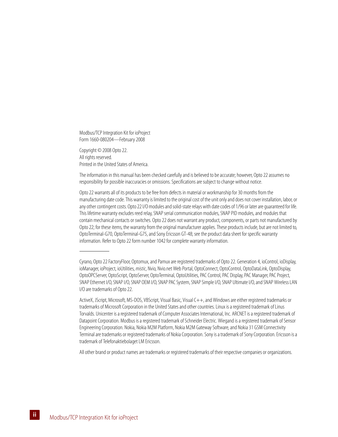Modbus/TCP Integration Kit for ioProject Form 1660-080204—February 2008

Copyright © 2008 Opto 22. All rights reserved. Printed in the United States of America.

The information in this manual has been checked carefully and is believed to be accurate; however, Opto 22 assumes no responsibility for possible inaccuracies or omissions. Specifications are subject to change without notice.

Opto 22 warrants all of its products to be free from defects in material or workmanship for 30 months from the manufacturing date code. This warranty is limited to the original cost of the unit only and does not cover installation, labor, or any other contingent costs. Opto 22 I/O modules and solid-state relays with date codes of 1/96 or later are guaranteed for life. This lifetime warranty excludes reed relay, SNAP serial communication modules, SNAP PID modules, and modules that contain mechanical contacts or switches. Opto 22 does not warrant any product, components, or parts not manufactured by Opto 22; for these items, the warranty from the original manufacturer applies. These products include, but are not limited to, OptoTerminal-G70, OptoTerminal-G75, and Sony Ericsson GT-48; see the product data sheet for specific warranty information. Refer to Opto 22 form number 1042 for complete warranty information.

All other brand or product names are trademarks or registered trademarks of their respective companies or organizations.

Cyrano, Opto 22 FactoryFloor, Optomux, and Pamux are registered trademarks of Opto 22. Generation 4, ioControl, ioDisplay, ioManager, ioProject, ioUtilities, *mistic*, Nvio, Nvio.net Web Portal, OptoConnect, OptoControl, OptoDataLink, OptoDisplay, OptoOPCServer, OptoScript, OptoServer, OptoTerminal, OptoUtilities, PAC Control, PAC Display, PAC Manager, PAC Project, SNAP Ethernet I/O, SNAP I/O, SNAP OEM I/O, SNAP PAC System, SNAP Simple I/O, SNAP Ultimate I/O, and SNAP Wireless LAN I/O are trademarks of Opto 22.

ActiveX, JScript, Microsoft, MS-DOS, VBScript, Visual Basic, Visual C++, and Windows are either registered trademarks or trademarks of Microsoft Corporation in the United States and other countries. Linux is a registered trademark of Linus Torvalds. Unicenter is a registered trademark of Computer Associates International, Inc. ARCNET is a registered trademark of Datapoint Corporation. Modbus is a registered trademark of Schneider Electric. Wiegand is a registered trademark of Sensor Engineering Corporation. Nokia, Nokia M2M Platform, Nokia M2M Gateway Software, and Nokia 31 GSM Connectivity Terminal are trademarks or registered trademarks of Nokia Corporation. Sony is a trademark of Sony Corporation. Ericsson is a trademark of Telefonaktiebolaget LM Ericsson.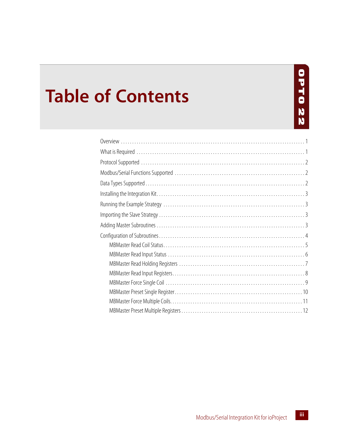# **OPT022**

## **Table of Contents**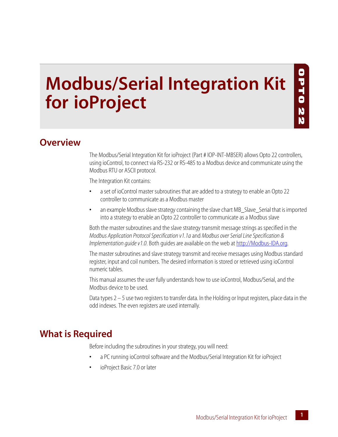## **Modbus/Serial Integration Kit for ioProject**

#### <span id="page-4-0"></span>**Overview**

The Modbus/Serial Integration Kit for ioProject (Part # IOP-INT-MBSER) allows Opto 22 controllers, using ioControl, to connect via RS-232 or RS-485 to a Modbus device and communicate using the Modbus RTU or ASCII protocol.

UTT0

22

The Integration Kit contains:

*Chapter 1*

- **•** a set of ioControl master subroutines that are added to a strategy to enable an Opto 22 controller to communicate as a Modbus master
- **•** an example Modbus slave strategy containing the slave chart MB\_Slave\_Serial that is imported into a strategy to enable an Opto 22 controller to communicate as a Modbus slave

Both the master subroutines and the slave strategy transmit message strings as specified in the *Modbus Application Protocol Specification v1.1a* and *Modbus over Serial Line Specification & Implementation guide v1.0*. Both guides are available on the web at [http://Modbus-IDA.org.](http://Modbus-IDA.org)

The master subroutines and slave strategy transmit and receive messages using Modbus standard register, input and coil numbers. The desired information is stored or retrieved using ioControl numeric tables.

This manual assumes the user fully understands how to use ioControl, Modbus/Serial, and the Modbus device to be used.

Data types 2 – 5 use two registers to transfer data. In the Holding or Input registers, place data in the odd indexes. The even registers are used internally.

#### <span id="page-4-1"></span>**What is Required**

Before including the subroutines in your strategy, you will need:

- **•** a PC running ioControl software and the Modbus/Serial Integration Kit for ioProject
- **•** ioProject Basic 7.0 or later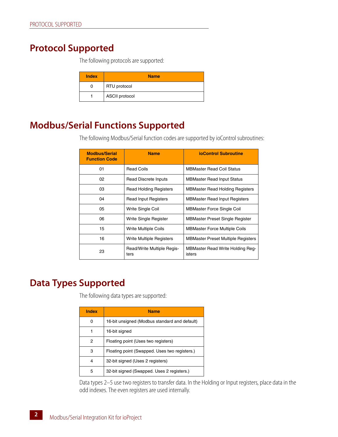#### <span id="page-5-0"></span>**Protocol Supported**

The following protocols are supported:

| <b>Index</b> | <b>Name</b>           |
|--------------|-----------------------|
| O            | RTU protocol          |
|              | <b>ASCII</b> protocol |

#### <span id="page-5-1"></span>**Modbus/Serial Functions Supported**

The following Modbus/Serial function codes are supported by ioControl subroutines:

| <b>Modbus/Serial</b><br><b>Function Code</b> | <b>Name</b>                        | ioControl Subroutine                       |
|----------------------------------------------|------------------------------------|--------------------------------------------|
| 01                                           | <b>Read Coils</b>                  | MBMaster Read Coil Status                  |
| 02                                           | Read Discrete Inputs               | <b>MBMaster Read Input Status</b>          |
| 03                                           | <b>Read Holding Registers</b>      | <b>MBMaster Read Holding Registers</b>     |
| 04                                           | <b>Read Input Registers</b>        | <b>MBMaster Read Input Registers</b>       |
| 05                                           | Write Single Coil                  | <b>MBMaster Force Single Coil</b>          |
| 06                                           | Write Single Register              | <b>MBMaster Preset Single Register</b>     |
| 15                                           | Write Multiple Coils               | <b>MBMaster Force Multiple Coils</b>       |
| 16                                           | Write Multiple Registers           | <b>MBMaster Preset Multiple Registers</b>  |
| 23                                           | Read/Write Multiple Regis-<br>ters | MBMaster Read Write Holding Reg-<br>isters |

#### <span id="page-5-2"></span>**Data Types Supported**

The following data types are supported:

| Index | <b>Name</b>                                   |
|-------|-----------------------------------------------|
|       | 16-bit unsigned (Modbus standard and default) |
|       | 16-bit signed                                 |
| 2     | Floating point (Uses two registers)           |
| 3     | Floating point (Swapped. Uses two registers.) |
| 4     | 32-bit signed (Uses 2 registers)              |
| 5     | 32-bit signed (Swapped. Uses 2 registers.)    |

Data types 2–5 use two registers to transfer data. In the Holding or Input registers, place data in the odd indexes. The even registers are used internally.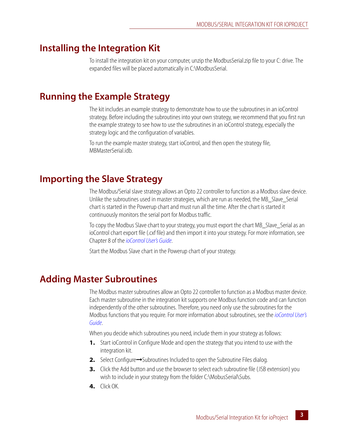#### <span id="page-6-0"></span>**Installing the Integration Kit**

To install the integration kit on your computer, unzip the ModbusSerial.zip file to your C: drive. The expanded files will be placed automatically in C:\ModbusSerial.

#### <span id="page-6-1"></span>**Running the Example Strategy**

The kit includes an example strategy to demonstrate how to use the subroutines in an ioControl strategy. Before including the subroutines into your own strategy, we recommend that you first run the example strategy to see how to use the subroutines in an ioControl strategy, especially the strategy logic and the configuration of variables.

To run the example master strategy, start ioControl, and then open the strategy file, MBMasterSerial.idb

#### <span id="page-6-2"></span>**Importing the Slave Strategy**

The Modbus/Serial slave strategy allows an Opto 22 controller to function as a Modbus slave device. Unlike the subroutines used in master strategies, which are run as needed, the MB\_Slave\_Serial chart is started in the Powerup chart and must run all the time. After the chart is started it continuously monitors the serial port for Modbus traffic.

To copy the Modbus Slave chart to your strategy, you must export the chart MB\_Slave\_Serial as an ioControl chart export file (.cxf file) and then import it into your strategy. For more information, see Chapter 8 of the *[ioControl User's Guide](http://www.opto22.com/site/documents/drilldown.aspx?aid=1793)*.

Start the Modbus Slave chart in the Powerup chart of your strategy.

#### <span id="page-6-3"></span>**Adding Master Subroutines**

The Modbus master subroutines allow an Opto 22 controller to function as a Modbus master device. Each master subroutine in the integration kit supports one Modbus function code and can function independently of the other subroutines. Therefore, you need only use the subroutines for the Modbus functions that you require. For more information about subroutines, see the *[ioControl User's](http://www.opto22.com/site/documents/drilldown.aspx?aid=1793)  [Guide](http://www.opto22.com/site/documents/drilldown.aspx?aid=1793)*.

When you decide which subroutines you need, include them in your strategy as follows:

- **1.** Start ioControl in Configure Mode and open the strategy that you intend to use with the integration kit.
- **2.** Select Configure→Subroutines Included to open the Subroutine Files dialog.
- **3.** Click the Add button and use the browser to select each subroutine file (.ISB extension) you wish to include in your strategy from the folder C:\MobusSerial\Subs.
- **4.** Click OK.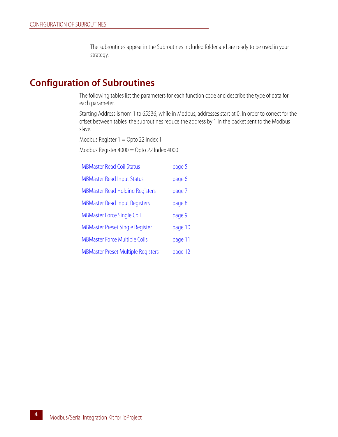The subroutines appear in the Subroutines Included folder and are ready to be used in your strategy.

#### <span id="page-7-0"></span>**Configuration of Subroutines**

The following tables list the parameters for each function code and describe the type of data for each parameter.

Starting Address is from 1 to 65536, while in Modbus, addresses start at 0. In order to correct for the offset between tables, the subroutines reduce the address by 1 in the packet sent to the Modbus slave.

Modbus Register  $1 =$  Opto 22 Index 1

Modbus Register 4000 = Opto 22 Index 4000

| <b>MBMaster Read Coil Status</b>          | page 5  |
|-------------------------------------------|---------|
| <b>MBMaster Read Input Status</b>         | page 6  |
| <b>MBMaster Read Holding Registers</b>    | page 7  |
| <b>MBMaster Read Input Registers</b>      | page 8  |
| <b>MBMaster Force Single Coil</b>         | page 9  |
| <b>MBMaster Preset Single Register</b>    | page 10 |
| <b>MBMaster Force Multiple Coils</b>      | page 11 |
| <b>MBMaster Preset Multiple Registers</b> | page 12 |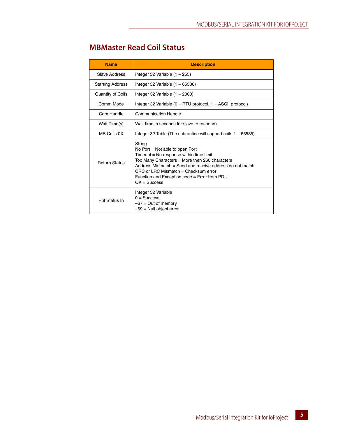#### <span id="page-8-0"></span>**MBMaster Read Coil Status**

| <b>Name</b>              | <b>Description</b>                                                                                                                                                                                                                                                                                                 |
|--------------------------|--------------------------------------------------------------------------------------------------------------------------------------------------------------------------------------------------------------------------------------------------------------------------------------------------------------------|
| Slave Address            | Integer 32 Variable (1 - 255)                                                                                                                                                                                                                                                                                      |
| <b>Starting Address</b>  | Integer 32 Variable $(1 - 65536)$                                                                                                                                                                                                                                                                                  |
| <b>Quantity of Coils</b> | Integer 32 Variable $(1 - 2000)$                                                                                                                                                                                                                                                                                   |
| Comm Mode                | Integer 32 Variable ( $0 = RTU$ protocol, $1 = ASCII$ protocol)                                                                                                                                                                                                                                                    |
| Com Handle               | <b>Communication Handle</b>                                                                                                                                                                                                                                                                                        |
| Wait Time(s)             | Wait time in seconds for slave to respond)                                                                                                                                                                                                                                                                         |
| MB Coils 0X              | Integer 32 Table (The subroutine will support coils $1 - 65535$ )                                                                                                                                                                                                                                                  |
| <b>Return Status</b>     | String<br>No Port $=$ Not able to open Port<br>$Timeout = No$ response within time limit<br>Too Many Characters = More then 260 characters<br>Address Mismatch = Send and receive address do not match<br>$CRC$ or LRC Mismatch = Checksum error<br>Function and Exception code = Error from PDU<br>$OK = Success$ |
| Put Status In            | Integer 32 Variable<br>$0 =$ Success<br>$-67$ = Out of memory<br>$-69$ = Null object error                                                                                                                                                                                                                         |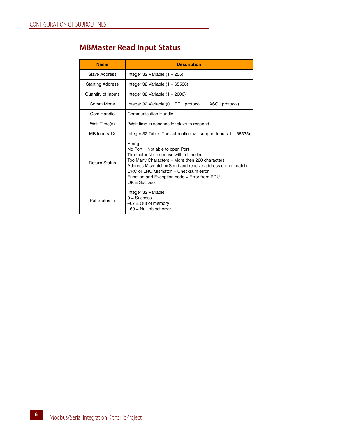#### <span id="page-9-0"></span>**MBMaster Read Input Status**

| <b>Name</b>             | <b>Description</b>                                                                                                                                                                                                                                                                                               |
|-------------------------|------------------------------------------------------------------------------------------------------------------------------------------------------------------------------------------------------------------------------------------------------------------------------------------------------------------|
| Slave Address           | Integer 32 Variable $(1 - 255)$                                                                                                                                                                                                                                                                                  |
| <b>Starting Address</b> | Integer 32 Variable $(1 - 65536)$                                                                                                                                                                                                                                                                                |
| Quantity of Inputs      | Integer 32 Variable $(1 - 2000)$                                                                                                                                                                                                                                                                                 |
| Comm Mode               | Integer 32 Variable ( $0 = RTU$ protocol 1 = ASCII protocol)                                                                                                                                                                                                                                                     |
| Com Handle              | Communication Handle                                                                                                                                                                                                                                                                                             |
| Wait Time(s)            | (Wait time in seconds for slave to respond)                                                                                                                                                                                                                                                                      |
| MB Inputs 1X            | Integer 32 Table (The subroutine will support lnputs $1 - 65535$ )                                                                                                                                                                                                                                               |
| <b>Return Status</b>    | String<br>No Port = Not able to open Port<br>$Timeout = No$ response within time limit<br>Too Many Characters = More then 260 characters<br>Address Mismatch $=$ Send and receive address do not match<br>CRC or LRC Mismatch = Checksum error<br>Function and Exception code = Error from PDU<br>$OK = Success$ |
| Put Status In           | Integer 32 Variable<br>$0 =$ Success<br>$-67$ = Out of memory<br>$-69$ = Null object error                                                                                                                                                                                                                       |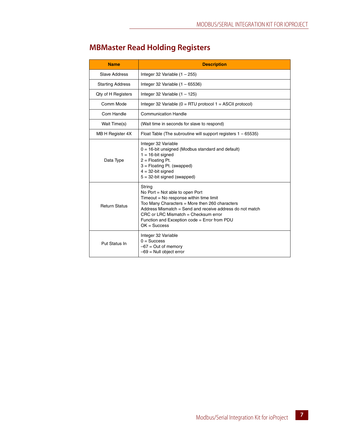| <b>Name</b>             | <b>Description</b>                                                                                                                                                                                                                                                                                               |
|-------------------------|------------------------------------------------------------------------------------------------------------------------------------------------------------------------------------------------------------------------------------------------------------------------------------------------------------------|
| Slave Address           | Integer 32 Variable $(1 - 255)$                                                                                                                                                                                                                                                                                  |
| <b>Starting Address</b> | Integer 32 Variable $(1 - 65536)$                                                                                                                                                                                                                                                                                |
| Qty of H Registers      | Integer 32 Variable $(1 - 125)$                                                                                                                                                                                                                                                                                  |
| Comm Mode               | Integer 32 Variable ( $0 = RTU$ protocol 1 = ASCII protocol)                                                                                                                                                                                                                                                     |
| Com Handle              | <b>Communication Handle</b>                                                                                                                                                                                                                                                                                      |
| Wait Time(s)            | (Wait time in seconds for slave to respond)                                                                                                                                                                                                                                                                      |
| MB H Register 4X        | Float Table (The subroutine will support registers $1 - 65535$ )                                                                                                                                                                                                                                                 |
| Data Type               | Integer 32 Variable<br>$0 = 16$ -bit unsigned (Modbus standard and default)<br>$1 = 16$ -bit signed<br>$2 =$ Floating Pt.<br>$3 =$ Floating Pt. (swapped)<br>$4 = 32$ -bit signed<br>$5 = 32$ -bit signed (swapped)                                                                                              |
| <b>Return Status</b>    | String<br>No Port $=$ Not able to open Port<br>Timeout = No response within time limit<br>Too Many Characters = More then 260 characters<br>Address Mismatch = Send and receive address do not match<br>$CRC$ or LRC Mismatch = Checksum error<br>Function and Exception code = Error from PDU<br>$OK = Success$ |
| Put Status In           | Integer 32 Variable<br>$0 = Success$<br>$-67$ = Out of memory<br>$-69$ = Null object error                                                                                                                                                                                                                       |

#### <span id="page-10-0"></span>**MBMaster Read Holding Registers**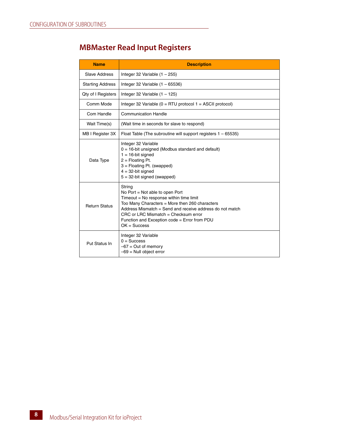#### <span id="page-11-0"></span>**MBMaster Read Input Registers**

| <b>Name</b>             | <b>Description</b>                                                                                                                                                                                                                                                                                               |
|-------------------------|------------------------------------------------------------------------------------------------------------------------------------------------------------------------------------------------------------------------------------------------------------------------------------------------------------------|
| Slave Address           | Integer 32 Variable $(1 - 255)$                                                                                                                                                                                                                                                                                  |
| <b>Starting Address</b> | Integer 32 Variable $(1 - 65536)$                                                                                                                                                                                                                                                                                |
| Qty of I Registers      | Integer 32 Variable $(1 - 125)$                                                                                                                                                                                                                                                                                  |
| Comm Mode               | Integer 32 Variable ( $0 = RTU$ protocol $1 = ASCII$ protocol)                                                                                                                                                                                                                                                   |
| Com Handle              | <b>Communication Handle</b>                                                                                                                                                                                                                                                                                      |
| Wait Time(s)            | (Wait time in seconds for slave to respond)                                                                                                                                                                                                                                                                      |
| MB I Register 3X        | Float Table (The subroutine will support registers $1 - 65535$ )                                                                                                                                                                                                                                                 |
| Data Type               | Integer 32 Variable<br>$0 = 16$ -bit unsigned (Modbus standard and default)<br>$1 = 16$ -bit signed<br>$2 =$ Floating Pt.<br>$3 =$ Floating Pt. (swapped)<br>$4 = 32$ -bit signed<br>$5 = 32$ -bit signed (swapped)                                                                                              |
| <b>Return Status</b>    | String<br>No Port $=$ Not able to open Port<br>Timeout = No response within time limit<br>Too Many Characters = More then 260 characters<br>Address Mismatch = Send and receive address do not match<br>$CRC$ or LRC Mismatch = Checksum error<br>Function and Exception code = Error from PDU<br>$OK = Success$ |
| Put Status In           | Integer 32 Variable<br>$0 =$ Success<br>$-67$ = Out of memory<br>$-69$ = Null object error                                                                                                                                                                                                                       |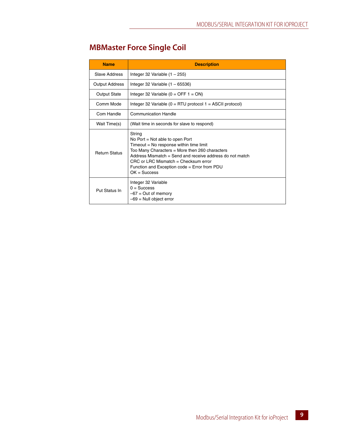#### <span id="page-12-0"></span>**MBMaster Force Single Coil**

| <b>Name</b>           | <b>Description</b>                                                                                                                                                                                                                                                                                                 |
|-----------------------|--------------------------------------------------------------------------------------------------------------------------------------------------------------------------------------------------------------------------------------------------------------------------------------------------------------------|
| Slave Address         | Integer 32 Variable $(1 - 255)$                                                                                                                                                                                                                                                                                    |
| <b>Output Address</b> | Integer 32 Variable $(1 - 65536)$                                                                                                                                                                                                                                                                                  |
| <b>Output State</b>   | Integer 32 Variable ( $0 =$ OFF 1 = ON)                                                                                                                                                                                                                                                                            |
| Comm Mode             | Integer 32 Variable ( $0 = RTU$ protocol $1 = ASCII$ protocol)                                                                                                                                                                                                                                                     |
| Com Handle            | <b>Communication Handle</b>                                                                                                                                                                                                                                                                                        |
| Wait Time(s)          | (Wait time in seconds for slave to respond)                                                                                                                                                                                                                                                                        |
| <b>Return Status</b>  | String<br>No Port $=$ Not able to open Port<br>Timeout = No response within time limit<br>Too Many Characters = More then 260 characters<br>Address Mismatch = Send and receive address do not match<br>$CRC$ or $LRC$ Mismatch = Checksum error<br>Function and Exception code = Error from PDU<br>$OK = Success$ |
| Put Status In         | Integer 32 Variable<br>$0 =$ Success<br>$-67$ = Out of memory<br>$-69$ = Null object error                                                                                                                                                                                                                         |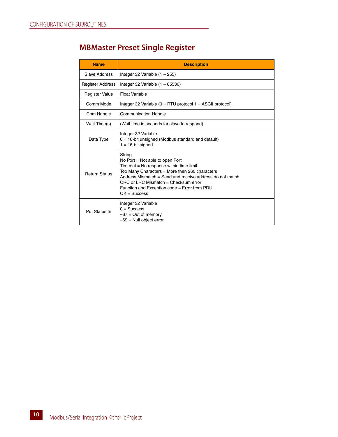#### <span id="page-13-0"></span>**MBMaster Preset Single Register**

| <b>Name</b>             | <b>Description</b>                                                                                                                                                                                                                                                                                               |
|-------------------------|------------------------------------------------------------------------------------------------------------------------------------------------------------------------------------------------------------------------------------------------------------------------------------------------------------------|
| Slave Address           | Integer 32 Variable $(1 - 255)$                                                                                                                                                                                                                                                                                  |
| <b>Register Address</b> | Integer 32 Variable $(1 - 65536)$                                                                                                                                                                                                                                                                                |
| <b>Register Value</b>   | Float Variable                                                                                                                                                                                                                                                                                                   |
| Comm Mode               | Integer 32 Variable ( $0 = RTU$ protocol $1 = ASCII$ protocol)                                                                                                                                                                                                                                                   |
| Com Handle              | <b>Communication Handle</b>                                                                                                                                                                                                                                                                                      |
| Wait Time(s)            | (Wait time in seconds for slave to respond)                                                                                                                                                                                                                                                                      |
| Data Type               | Integer 32 Variable<br>$0 = 16$ -bit unsigned (Modbus standard and default)<br>$1 = 16$ -bit signed                                                                                                                                                                                                              |
| <b>Return Status</b>    | String<br>No Port $=$ Not able to open Port<br>Timeout = No response within time limit<br>Too Many Characters = More then 260 characters<br>Address Mismatch = Send and receive address do not match<br>$CRC$ or LRC Mismatch = Checksum error<br>Function and Exception code = Error from PDU<br>$OK = Success$ |
| Put Status In           | Integer 32 Variable<br>$0 =$ Success<br>$-67$ = Out of memory<br>$-69$ = Null object error                                                                                                                                                                                                                       |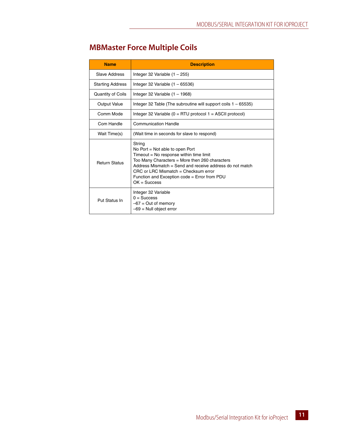<span id="page-14-0"></span>

| <b>Name</b>             | <b>Description</b>                                                                                                                                                                                                                                                                                               |
|-------------------------|------------------------------------------------------------------------------------------------------------------------------------------------------------------------------------------------------------------------------------------------------------------------------------------------------------------|
| Slave Address           | Integer 32 Variable $(1 - 255)$                                                                                                                                                                                                                                                                                  |
| <b>Starting Address</b> | Integer 32 Variable $(1 - 65536)$                                                                                                                                                                                                                                                                                |
| Quantity of Coils       | Integer 32 Variable $(1 - 1968)$                                                                                                                                                                                                                                                                                 |
| Output Value            | Integer 32 Table (The subroutine will support coils $1 - 65535$ )                                                                                                                                                                                                                                                |
| Comm Mode               | Integer 32 Variable ( $0 = RTU$ protocol 1 = ASCII protocol)                                                                                                                                                                                                                                                     |
| Com Handle              | <b>Communication Handle</b>                                                                                                                                                                                                                                                                                      |
| Wait Time(s)            | (Wait time in seconds for slave to respond)                                                                                                                                                                                                                                                                      |
| <b>Return Status</b>    | String<br>No Port $=$ Not able to open Port<br>Timeout = No response within time limit<br>Too Many Characters = More then 260 characters<br>Address Mismatch = Send and receive address do not match<br>$CRC$ or LRC Mismatch = Checksum error<br>Function and Exception code = Error from PDU<br>$OK = Success$ |
| Put Status In           | Integer 32 Variable<br>$0 =$ Success<br>$-67$ = Out of memory<br>$-69$ = Null object error                                                                                                                                                                                                                       |